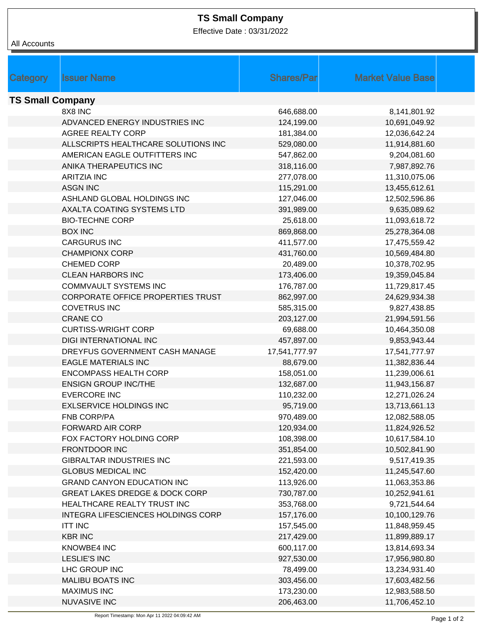## **TS Small Company**

Effective Date : 03/31/2022

| <b>Shares/Par</b><br><b>Market Value Base</b><br>Category<br><b>Issuer Name</b><br><b>TS Small Company</b><br>8X8 INC<br>646,688.00<br>8,141,801.92<br>ADVANCED ENERGY INDUSTRIES INC<br>124,199.00<br>10,691,049.92<br>AGREE REALTY CORP<br>181,384.00<br>12,036,642.24<br>ALLSCRIPTS HEALTHCARE SOLUTIONS INC<br>529,080.00<br>11,914,881.60<br>AMERICAN EAGLE OUTFITTERS INC<br>547,862.00<br>9,204,081.60<br>ANIKA THERAPEUTICS INC<br>318,116.00<br>7,987,892.76 |
|-----------------------------------------------------------------------------------------------------------------------------------------------------------------------------------------------------------------------------------------------------------------------------------------------------------------------------------------------------------------------------------------------------------------------------------------------------------------------|
|                                                                                                                                                                                                                                                                                                                                                                                                                                                                       |
|                                                                                                                                                                                                                                                                                                                                                                                                                                                                       |
|                                                                                                                                                                                                                                                                                                                                                                                                                                                                       |
|                                                                                                                                                                                                                                                                                                                                                                                                                                                                       |
|                                                                                                                                                                                                                                                                                                                                                                                                                                                                       |
|                                                                                                                                                                                                                                                                                                                                                                                                                                                                       |
|                                                                                                                                                                                                                                                                                                                                                                                                                                                                       |
|                                                                                                                                                                                                                                                                                                                                                                                                                                                                       |
|                                                                                                                                                                                                                                                                                                                                                                                                                                                                       |
|                                                                                                                                                                                                                                                                                                                                                                                                                                                                       |
|                                                                                                                                                                                                                                                                                                                                                                                                                                                                       |
| <b>ARITZIA INC</b><br>277,078.00<br>11,310,075.06                                                                                                                                                                                                                                                                                                                                                                                                                     |
| <b>ASGN INC</b><br>115,291.00<br>13,455,612.61                                                                                                                                                                                                                                                                                                                                                                                                                        |
| ASHLAND GLOBAL HOLDINGS INC<br>127,046.00<br>12,502,596.86                                                                                                                                                                                                                                                                                                                                                                                                            |
| AXALTA COATING SYSTEMS LTD<br>391,989.00<br>9,635,089.62                                                                                                                                                                                                                                                                                                                                                                                                              |
| <b>BIO-TECHNE CORP</b><br>25,618.00<br>11,093,618.72                                                                                                                                                                                                                                                                                                                                                                                                                  |
| <b>BOX INC</b><br>869,868.00<br>25,278,364.08                                                                                                                                                                                                                                                                                                                                                                                                                         |
| <b>CARGURUS INC</b><br>411,577.00<br>17,475,559.42                                                                                                                                                                                                                                                                                                                                                                                                                    |
| <b>CHAMPIONX CORP</b><br>431,760.00<br>10,569,484.80                                                                                                                                                                                                                                                                                                                                                                                                                  |
| <b>CHEMED CORP</b><br>20,489.00<br>10,378,702.95                                                                                                                                                                                                                                                                                                                                                                                                                      |
| <b>CLEAN HARBORS INC</b><br>173,406.00<br>19,359,045.84                                                                                                                                                                                                                                                                                                                                                                                                               |
| <b>COMMVAULT SYSTEMS INC</b><br>176,787.00<br>11,729,817.45                                                                                                                                                                                                                                                                                                                                                                                                           |
| <b>CORPORATE OFFICE PROPERTIES TRUST</b><br>862,997.00<br>24,629,934.38                                                                                                                                                                                                                                                                                                                                                                                               |
| <b>COVETRUS INC</b><br>9,827,438.85<br>585,315.00                                                                                                                                                                                                                                                                                                                                                                                                                     |
| <b>CRANE CO</b><br>203,127.00<br>21,994,591.56                                                                                                                                                                                                                                                                                                                                                                                                                        |
| <b>CURTISS-WRIGHT CORP</b><br>69,688.00<br>10,464,350.08                                                                                                                                                                                                                                                                                                                                                                                                              |
| DIGI INTERNATIONAL INC<br>457,897.00<br>9,853,943.44                                                                                                                                                                                                                                                                                                                                                                                                                  |
| DREYFUS GOVERNMENT CASH MANAGE<br>17,541,777.97<br>17,541,777.97                                                                                                                                                                                                                                                                                                                                                                                                      |
| <b>EAGLE MATERIALS INC</b><br>88,679.00<br>11,382,836.44                                                                                                                                                                                                                                                                                                                                                                                                              |
| <b>ENCOMPASS HEALTH CORP</b><br>158,051.00<br>11,239,006.61                                                                                                                                                                                                                                                                                                                                                                                                           |
| <b>ENSIGN GROUP INC/THE</b><br>132,687.00<br>11,943,156.87                                                                                                                                                                                                                                                                                                                                                                                                            |
| 12,271,026.24<br><b>EVERCORE INC</b><br>110,232.00                                                                                                                                                                                                                                                                                                                                                                                                                    |
| <b>EXLSERVICE HOLDINGS INC</b><br>95,719.00<br>13,713,661.13                                                                                                                                                                                                                                                                                                                                                                                                          |
| <b>FNB CORP/PA</b><br>970,489.00<br>12,082,588.05                                                                                                                                                                                                                                                                                                                                                                                                                     |
| <b>FORWARD AIR CORP</b><br>120,934.00<br>11,824,926.52                                                                                                                                                                                                                                                                                                                                                                                                                |
| 108,398.00<br>10,617,584.10<br>FOX FACTORY HOLDING CORP                                                                                                                                                                                                                                                                                                                                                                                                               |
| <b>FRONTDOOR INC</b><br>351,854.00<br>10,502,841.90                                                                                                                                                                                                                                                                                                                                                                                                                   |
| <b>GIBRALTAR INDUSTRIES INC</b><br>9,517,419.35<br>221,593.00                                                                                                                                                                                                                                                                                                                                                                                                         |
| <b>GLOBUS MEDICAL INC</b><br>11,245,547.60<br>152,420.00                                                                                                                                                                                                                                                                                                                                                                                                              |
| <b>GRAND CANYON EDUCATION INC</b><br>113,926.00<br>11,063,353.86                                                                                                                                                                                                                                                                                                                                                                                                      |
| <b>GREAT LAKES DREDGE &amp; DOCK CORP</b><br>730,787.00<br>10,252,941.61                                                                                                                                                                                                                                                                                                                                                                                              |
| HEALTHCARE REALTY TRUST INC<br>353,768.00<br>9,721,544.64                                                                                                                                                                                                                                                                                                                                                                                                             |
| INTEGRA LIFESCIENCES HOLDINGS CORP<br>157,176.00<br>10,100,129.76                                                                                                                                                                                                                                                                                                                                                                                                     |
| <b>ITT INC</b><br>11,848,959.45<br>157,545.00                                                                                                                                                                                                                                                                                                                                                                                                                         |
| <b>KBR INC</b><br>217,429.00<br>11,899,889.17                                                                                                                                                                                                                                                                                                                                                                                                                         |
| KNOWBE4 INC<br>600,117.00<br>13,814,693.34                                                                                                                                                                                                                                                                                                                                                                                                                            |
| <b>LESLIE'S INC</b><br>927,530.00<br>17,956,980.80                                                                                                                                                                                                                                                                                                                                                                                                                    |
| LHC GROUP INC<br>78,499.00<br>13,234,931.40                                                                                                                                                                                                                                                                                                                                                                                                                           |
| <b>MALIBU BOATS INC</b><br>303,456.00<br>17,603,482.56                                                                                                                                                                                                                                                                                                                                                                                                                |
| <b>MAXIMUS INC</b><br>173,230.00<br>12,983,588.50                                                                                                                                                                                                                                                                                                                                                                                                                     |
| NUVASIVE INC<br>206,463.00<br>11,706,452.10                                                                                                                                                                                                                                                                                                                                                                                                                           |